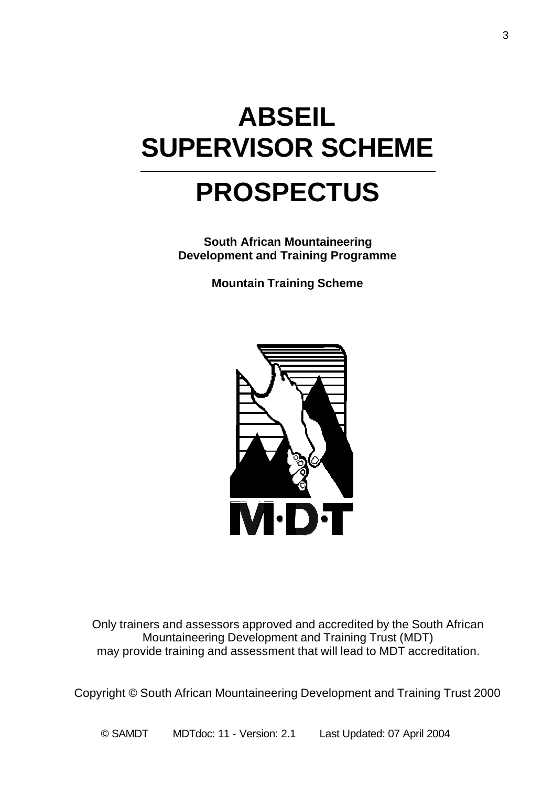# **ABSEIL SUPERVISOR SCHEME**

# **PROSPECTUS**

**South African Mountaineering Development and Training Programme**

**Mountain Training Scheme**



Only trainers and assessors approved and accredited by the South African Mountaineering Development and Training Trust (MDT) may provide training and assessment that will lead to MDT accreditation.

Copyright © South African Mountaineering Development and Training Trust 2000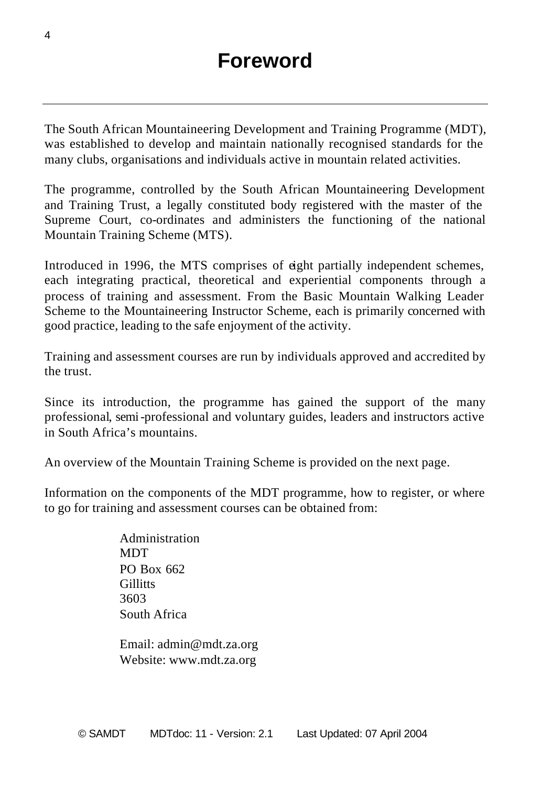The South African Mountaineering Development and Training Programme (MDT), was established to develop and maintain nationally recognised standards for the many clubs, organisations and individuals active in mountain related activities.

The programme, controlled by the South African Mountaineering Development and Training Trust, a legally constituted body registered with the master of the Supreme Court, co-ordinates and administers the functioning of the national Mountain Training Scheme (MTS).

Introduced in 1996, the MTS comprises of eight partially independent schemes, each integrating practical, theoretical and experiential components through a process of training and assessment. From the Basic Mountain Walking Leader Scheme to the Mountaineering Instructor Scheme, each is primarily concerned with good practice, leading to the safe enjoyment of the activity.

Training and assessment courses are run by individuals approved and accredited by the trust.

Since its introduction, the programme has gained the support of the many professional, semi-professional and voluntary guides, leaders and instructors active in South Africa's mountains.

An overview of the Mountain Training Scheme is provided on the next page.

Information on the components of the MDT programme, how to register, or where to go for training and assessment courses can be obtained from:

> Administration **MDT** PO Box 662 **Gillitts** 3603 South Africa

Email: admin@mdt.za.org Website: www.mdt.za.org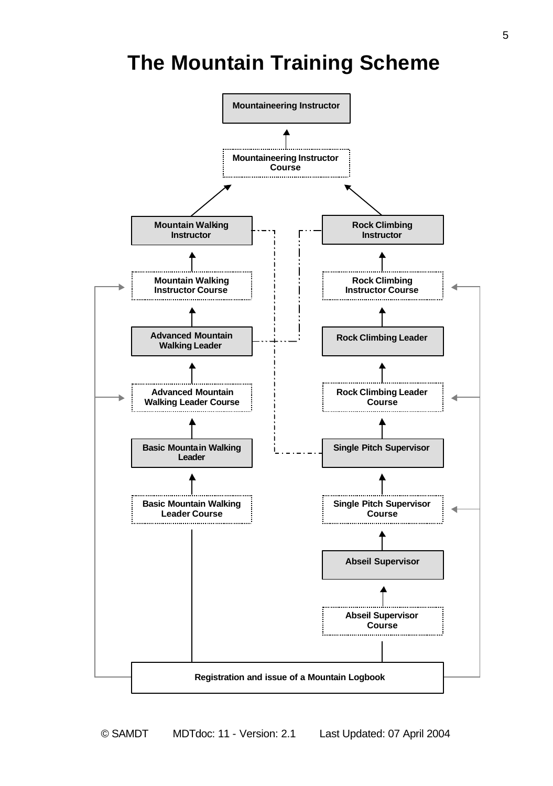## **The Mountain Training Scheme**

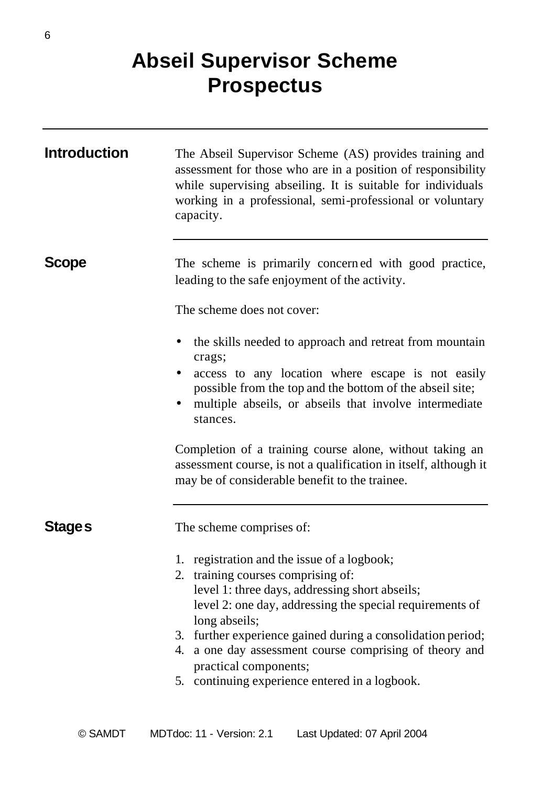## **Abseil Supervisor Scheme Prospectus**

| <b>Introduction</b> | The Abseil Supervisor Scheme (AS) provides training and<br>assessment for those who are in a position of responsibility<br>while supervising abseiling. It is suitable for individuals<br>working in a professional, semi-professional or voluntary<br>capacity.                                                                                                                                                      |
|---------------------|-----------------------------------------------------------------------------------------------------------------------------------------------------------------------------------------------------------------------------------------------------------------------------------------------------------------------------------------------------------------------------------------------------------------------|
| <b>Scope</b>        | The scheme is primarily concerned with good practice,<br>leading to the safe enjoyment of the activity.                                                                                                                                                                                                                                                                                                               |
|                     | The scheme does not cover:                                                                                                                                                                                                                                                                                                                                                                                            |
|                     | the skills needed to approach and retreat from mountain<br>crags;<br>access to any location where escape is not easily<br>٠<br>possible from the top and the bottom of the abseil site;<br>multiple abseils, or abseils that involve intermediate<br>stances.                                                                                                                                                         |
|                     | Completion of a training course alone, without taking an<br>assessment course, is not a qualification in itself, although it<br>may be of considerable benefit to the trainee.                                                                                                                                                                                                                                        |
| Stage s             | The scheme comprises of:                                                                                                                                                                                                                                                                                                                                                                                              |
|                     | 1. registration and the issue of a logbook;<br>2. training courses comprising of:<br>level 1: three days, addressing short abseils;<br>level 2: one day, addressing the special requirements of<br>long abseils;<br>3. further experience gained during a consolidation period;<br>4. a one day assessment course comprising of theory and<br>practical components;<br>5. continuing experience entered in a logbook. |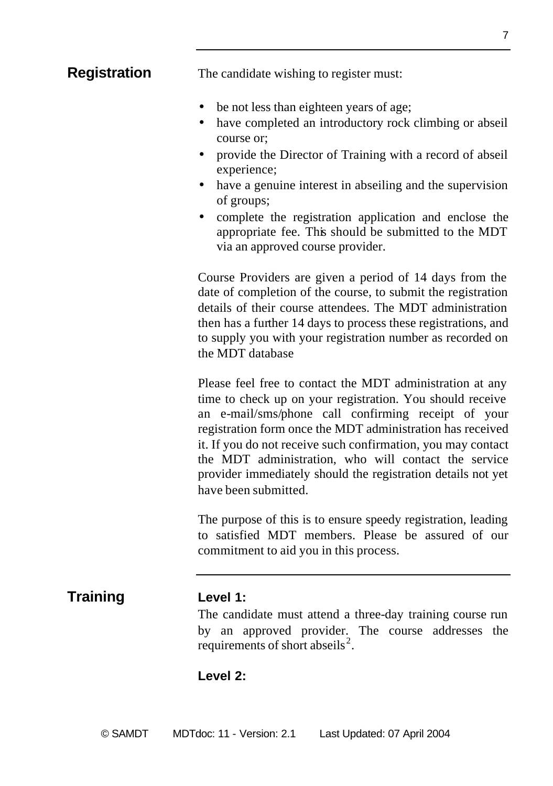**Registration** The candidate wishing to register must:

- be not less than eighteen years of age;
- have completed an introductory rock climbing or abseil course or;
- provide the Director of Training with a record of abseil experience;
- have a genuine interest in abseiling and the supervision of groups;
- complete the registration application and enclose the appropriate fee. This should be submitted to the MDT via an approved course provider.

Course Providers are given a period of 14 days from the date of completion of the course, to submit the registration details of their course attendees. The MDT administration then has a further 14 days to process these registrations, and to supply you with your registration number as recorded on the MDT database

Please feel free to contact the MDT administration at any time to check up on your registration. You should receive an e-mail/sms/phone call confirming receipt of your registration form once the MDT administration has received it. If you do not receive such confirmation, you may contact the MDT administration, who will contact the service provider immediately should the registration details not yet have been submitted.

The purpose of this is to ensure speedy registration, leading to satisfied MDT members. Please be assured of our commitment to aid you in this process.

#### **Training Level 1:**

The candidate must attend a three-day training course run by an approved provider. The course addresses the requirements of short abseils<sup>2</sup>.

#### **Level 2:**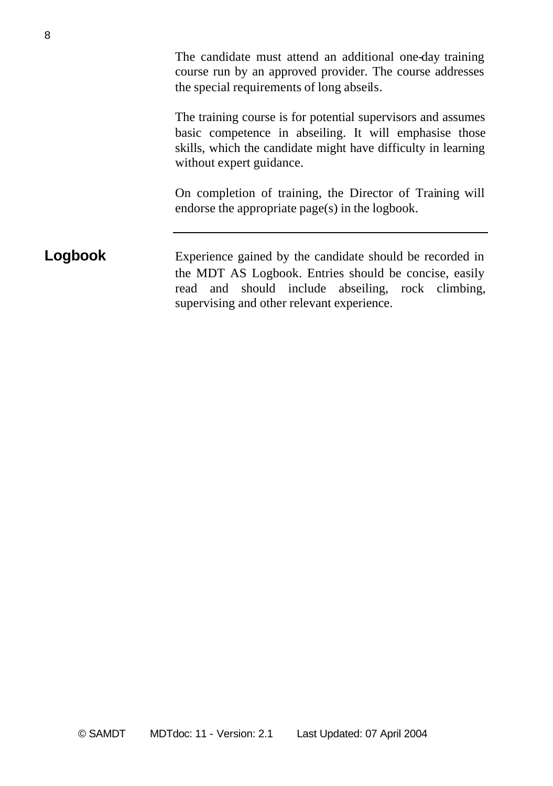The candidate must attend an additional one-day training course run by an approved provider. The course addresses the special requirements of long abseils.

The training course is for potential supervisors and assumes basic competence in abseiling. It will emphasise those skills, which the candidate might have difficulty in learning without expert guidance.

On completion of training, the Director of Training will endorse the appropriate page(s) in the logbook.

#### **Logbook** Experience gained by the candidate should be recorded in the MDT AS Logbook. Entries should be concise, easily read and should include abseiling, rock climbing, supervising and other relevant experience.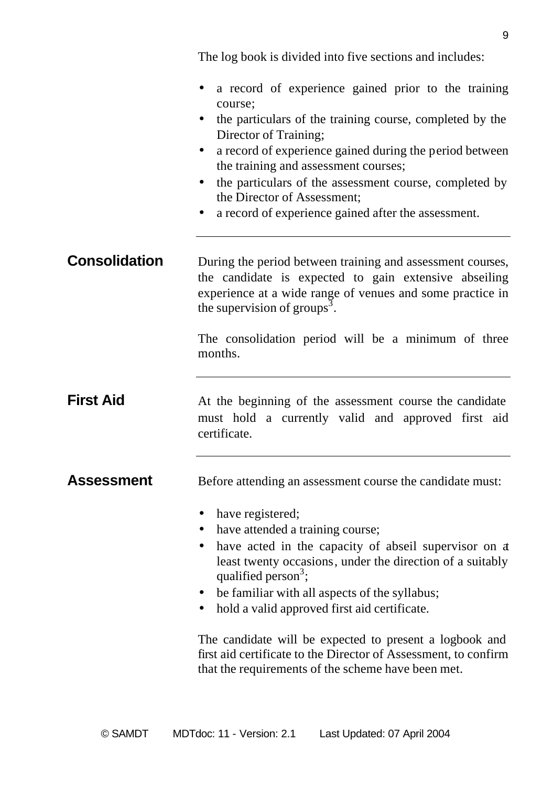The log book is divided into five sections and includes:

|                      | a record of experience gained prior to the training<br>course;<br>the particulars of the training course, completed by the<br>Director of Training;<br>a record of experience gained during the period between<br>$\bullet$<br>the training and assessment courses;<br>the particulars of the assessment course, completed by<br>$\bullet$<br>the Director of Assessment;<br>a record of experience gained after the assessment. |
|----------------------|----------------------------------------------------------------------------------------------------------------------------------------------------------------------------------------------------------------------------------------------------------------------------------------------------------------------------------------------------------------------------------------------------------------------------------|
| <b>Consolidation</b> | During the period between training and assessment courses,<br>the candidate is expected to gain extensive abseiling<br>experience at a wide range of venues and some practice in<br>the supervision of groups <sup>3</sup> .                                                                                                                                                                                                     |
|                      | The consolidation period will be a minimum of three<br>months.                                                                                                                                                                                                                                                                                                                                                                   |
| <b>First Aid</b>     | At the beginning of the assessment course the candidate<br>must hold a currently valid and approved first aid<br>certificate.                                                                                                                                                                                                                                                                                                    |
| Assessment           | Before attending an assessment course the candidate must:                                                                                                                                                                                                                                                                                                                                                                        |
|                      | have registered;<br>have attended a training course;<br>have acted in the capacity of abseil supervisor on a<br>least twenty occasions, under the direction of a suitably<br>qualified person <sup>3</sup> ;<br>be familiar with all aspects of the syllabus;<br>hold a valid approved first aid certificate.                                                                                                                    |
|                      | The candidate will be expected to present a logbook and<br>first aid certificate to the Director of Assessment, to confirm<br>that the requirements of the scheme have been met.                                                                                                                                                                                                                                                 |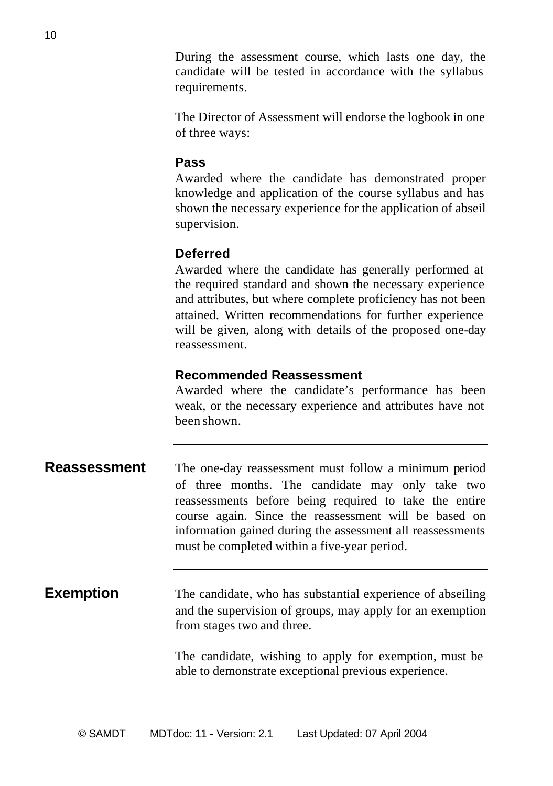During the assessment course, which lasts one day, the candidate will be tested in accordance with the syllabus requirements.

The Director of Assessment will endorse the logbook in one of three ways:

#### **Pass**

Awarded where the candidate has demonstrated proper knowledge and application of the course syllabus and has shown the necessary experience for the application of abseil supervision.

#### **Deferred**

Awarded where the candidate has generally performed at the required standard and shown the necessary experience and attributes, but where complete proficiency has not been attained. Written recommendations for further experience will be given, along with details of the proposed one-day reassessment.

#### **Recommended Reassessment**

Awarded where the candidate's performance has been weak, or the necessary experience and attributes have not been shown.

| Reassessment | The one-day reassessment must follow a minimum period      |
|--------------|------------------------------------------------------------|
|              | of three months. The candidate may only take two           |
|              | reassessments before being required to take the entire     |
|              | course again. Since the reassessment will be based on      |
|              | information gained during the assessment all reassessments |
|              | must be completed within a five-year period.               |

#### **Exemption** The candidate, who has substantial experience of abseiling and the supervision of groups, may apply for an exemption from stages two and three.

The candidate, wishing to apply for exemption, must be able to demonstrate exceptional previous experience.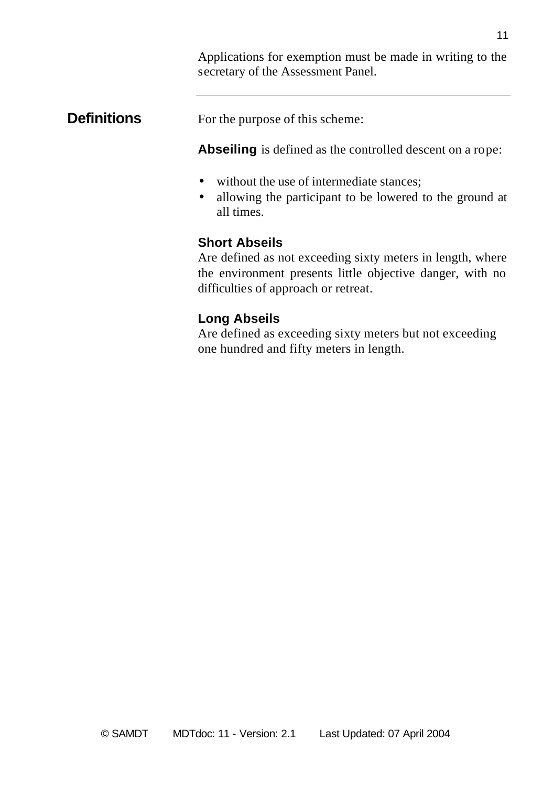Applications for exemption must be made in writing to the secretary of the Assessment Panel.

### **Definitions** For the purpose of this scheme:

**Abseiling** is defined as the controlled descent on a rope:

- without the use of intermediate stances;
- allowing the participant to be lowered to the ground at all times.

### **Short Abseils**

Are defined as not exceeding sixty meters in length, where the environment presents little objective danger, with no difficulties of approach or retreat.

### **Long Abseils**

Are defined as exceeding sixty meters but not exceeding one hundred and fifty meters in length.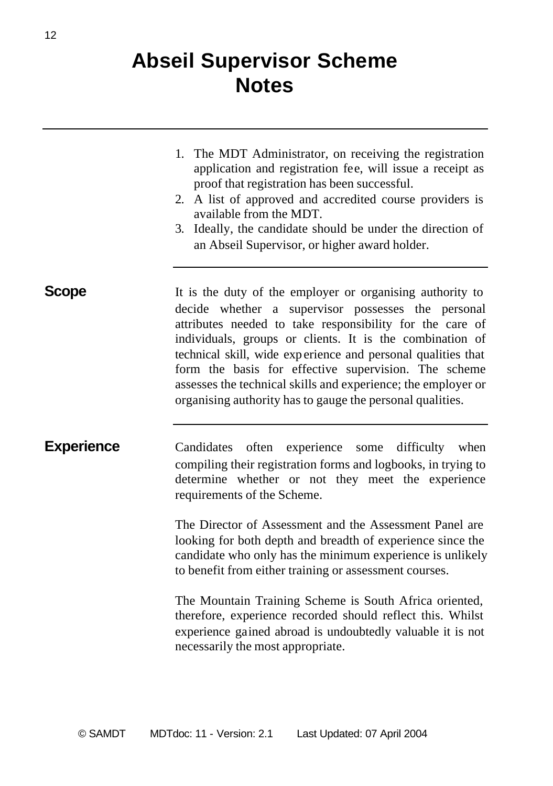## **Abseil Supervisor Scheme Notes**

- 1. The MDT Administrator, on receiving the registration application and registration fee, will issue a receipt as proof that registration has been successful.
- 2. A list of approved and accredited course providers is available from the MDT.
- 3. Ideally, the candidate should be under the direction of an Abseil Supervisor, or higher award holder.

**Scope** It is the duty of the employer or organising authority to decide whether a supervisor possesses the personal attributes needed to take responsibility for the care of individuals, groups or clients. It is the combination of technical skill, wide exp erience and personal qualities that form the basis for effective supervision. The scheme assesses the technical skills and experience; the employer or organising authority has to gauge the personal qualities.

**Experience** Candidates often experience some difficulty when compiling their registration forms and logbooks, in trying to determine whether or not they meet the experience requirements of the Scheme.

> The Director of Assessment and the Assessment Panel are looking for both depth and breadth of experience since the candidate who only has the minimum experience is unlikely to benefit from either training or assessment courses.

> The Mountain Training Scheme is South Africa oriented, therefore, experience recorded should reflect this. Whilst experience gained abroad is undoubtedly valuable it is not necessarily the most appropriate.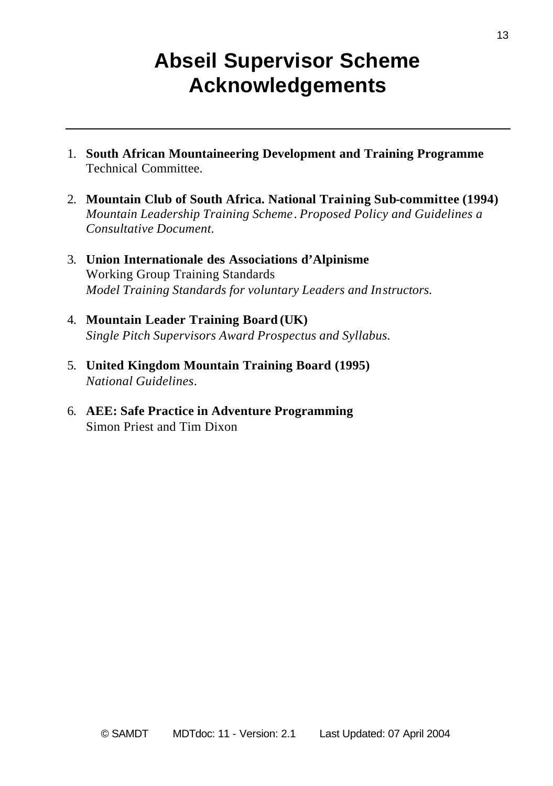## **Abseil Supervisor Scheme Acknowledgements**

- 1. **South African Mountaineering Development and Training Programme** Technical Committee.
- 2. **Mountain Club of South Africa. National Training Sub-committee (1994)** *Mountain Leadership Training Scheme*. *Proposed Policy and Guidelines a Consultative Document.*
- 3. **Union Internationale des Associations d'Alpinisme** Working Group Training Standards *Model Training Standards for voluntary Leaders and Instructors.*
- 4. **Mountain Leader Training Board (UK)** *Single Pitch Supervisors Award Prospectus and Syllabus.*
- 5. **United Kingdom Mountain Training Board (1995)** *National Guidelines*.
- 6. **AEE: Safe Practice in Adventure Programming** Simon Priest and Tim Dixon